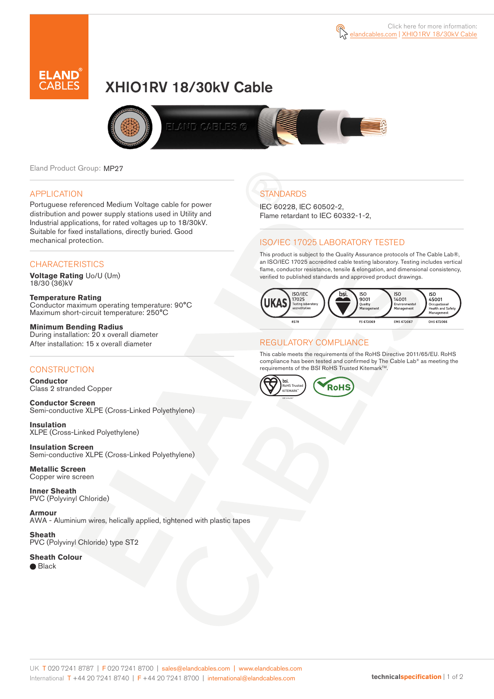

# XHIO1RV 18/30kV Cable



Eland Product Group: MP27

#### APPLICATION

Portuguese referenced Medium Voltage cable for power distribution and power supply stations used in Utility and Industrial applications, for rated voltages up to 18/30kV. Suitable for fixed installations, directly buried. Good mechanical protection.

#### **CHARACTERISTICS**

**Voltage Rating** Uo/U (Um) 18/30 (36)kV

**Temperature Rating** Conductor maximum operating temperature: 90°C Maximum short-circuit temperature: 250°C

**Minimum Bending Radius** During installation: 20 x overall diameter After installation: 15 x overall diameter

#### **CONSTRUCTION**

**Conductor**  Class 2 stranded Copper

**Conductor Screen** Semi-conductive XLPE (Cross-Linked Polyethylene)

**Insulation** XLPE (Cross-Linked Polyethylene)

**Insulation Screen** Semi-conductive XLPE (Cross-Linked Polyethylene)

**Metallic Screen**  Copper wire screen

**Inner Sheath** PVC (Polyvinyl Chloride)

**Armour** AWA - Aluminium wires, helically applied, tightened with plastic tapes

**Sheath** PVC (Polyvinyl Chloride) type ST2

**Sheath Colour**  ● Black

**STANDARDS** 

IEC 60228, IEC 60502-2, Flame retardant to IEC 60332-1-2,

#### ISO/IEC 17025 LABORATORY TESTED

This product is subject to the Quality Assurance protocols of The Cable Lab®, an ISO/IEC 17025 accredited cable testing laboratory. Testing includes vertical flame, conductor resistance, tensile & elongation, and dimensional consistency, verified to published standards and approved product drawings.



#### REGULATORY COMPLIANCE

This cable meets the requirements of the RoHS Directive 2011/65/EU. RoHS compliance has been tested and confirmed by The Cable Lab® as meeting the requirements of the BSI RoHS Trusted Kitemark™